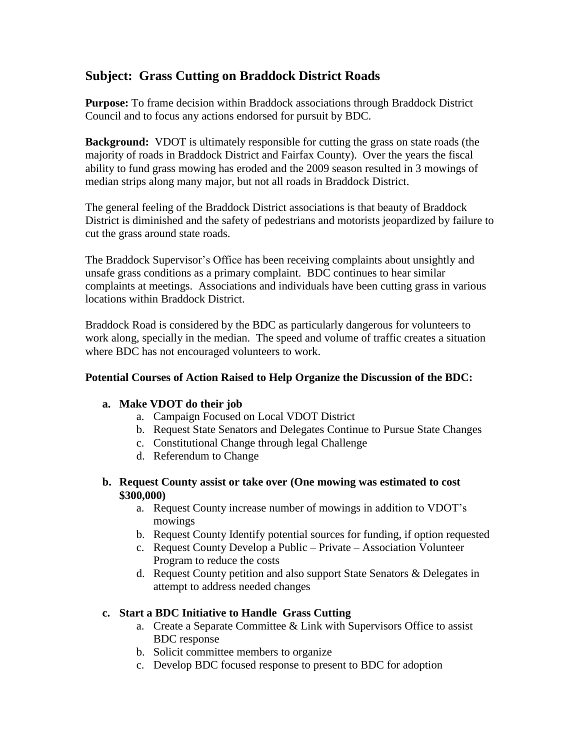# **Subject: Grass Cutting on Braddock District Roads**

**Purpose:** To frame decision within Braddock associations through Braddock District Council and to focus any actions endorsed for pursuit by BDC.

**Background:** VDOT is ultimately responsible for cutting the grass on state roads (the majority of roads in Braddock District and Fairfax County). Over the years the fiscal ability to fund grass mowing has eroded and the 2009 season resulted in 3 mowings of median strips along many major, but not all roads in Braddock District.

The general feeling of the Braddock District associations is that beauty of Braddock District is diminished and the safety of pedestrians and motorists jeopardized by failure to cut the grass around state roads.

The Braddock Supervisor's Office has been receiving complaints about unsightly and unsafe grass conditions as a primary complaint. BDC continues to hear similar complaints at meetings. Associations and individuals have been cutting grass in various locations within Braddock District.

Braddock Road is considered by the BDC as particularly dangerous for volunteers to work along, specially in the median. The speed and volume of traffic creates a situation where BDC has not encouraged volunteers to work.

# **Potential Courses of Action Raised to Help Organize the Discussion of the BDC:**

## **a. Make VDOT do their job**

- a. Campaign Focused on Local VDOT District
- b. Request State Senators and Delegates Continue to Pursue State Changes
- c. Constitutional Change through legal Challenge
- d. Referendum to Change

#### **b. Request County assist or take over (One mowing was estimated to cost \$300,000)**

- a. Request County increase number of mowings in addition to VDOT's mowings
- b. Request County Identify potential sources for funding, if option requested
- c. Request County Develop a Public Private Association Volunteer Program to reduce the costs
- d. Request County petition and also support State Senators & Delegates in attempt to address needed changes

## **c. Start a BDC Initiative to Handle Grass Cutting**

- a. Create a Separate Committee & Link with Supervisors Office to assist BDC response
- b. Solicit committee members to organize
- c. Develop BDC focused response to present to BDC for adoption